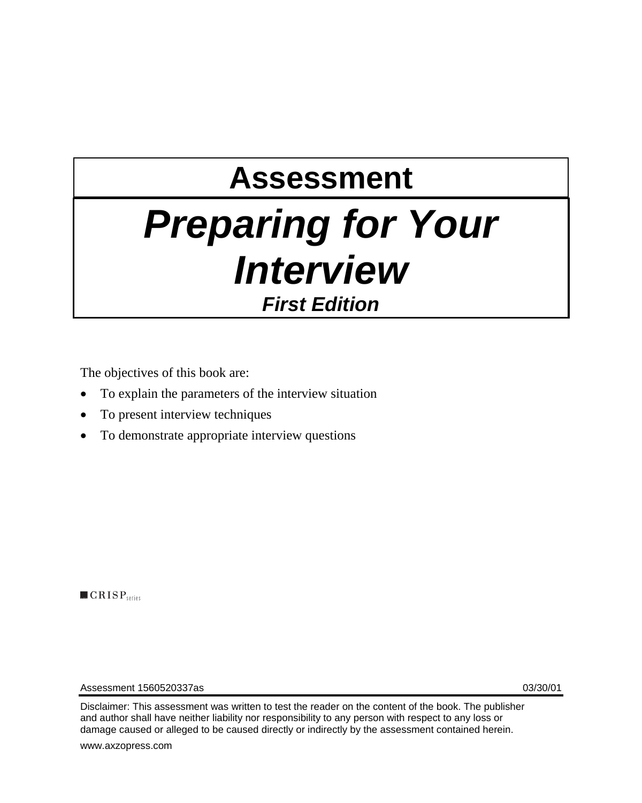# **Assessment**  *Preparing for Your Interview First Edition*

The objectives of this book are:

- To explain the parameters of the interview situation
- To present interview techniques
- To demonstrate appropriate interview questions

 $\blacksquare$   $CRISP$ <sub>series</sub>

Assessment 1560520337as 03/30/01

Disclaimer: This assessment was written to test the reader on the content of the book. The publisher and author shall have neither liability nor responsibility to any person with respect to any loss or damage caused or alleged to be caused directly or indirectly by the assessment contained herein.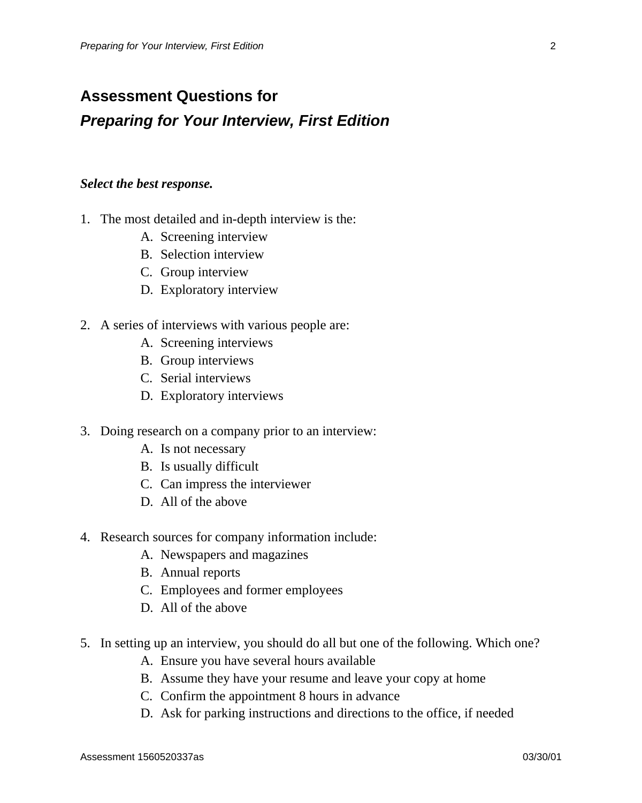## **Assessment Questions for**  *Preparing for Your Interview, First Edition*

#### *Select the best response.*

- 1. The most detailed and in-depth interview is the:
	- A. Screening interview
	- B. Selection interview
	- C. Group interview
	- D. Exploratory interview
- 2. A series of interviews with various people are:
	- A. Screening interviews
	- B. Group interviews
	- C. Serial interviews
	- D. Exploratory interviews
- 3. Doing research on a company prior to an interview:
	- A. Is not necessary
	- B. Is usually difficult
	- C. Can impress the interviewer
	- D. All of the above
- 4. Research sources for company information include:
	- A. Newspapers and magazines
	- B. Annual reports
	- C. Employees and former employees
	- D. All of the above
- 5. In setting up an interview, you should do all but one of the following. Which one?
	- A. Ensure you have several hours available
	- B. Assume they have your resume and leave your copy at home
	- C. Confirm the appointment 8 hours in advance
	- D. Ask for parking instructions and directions to the office, if needed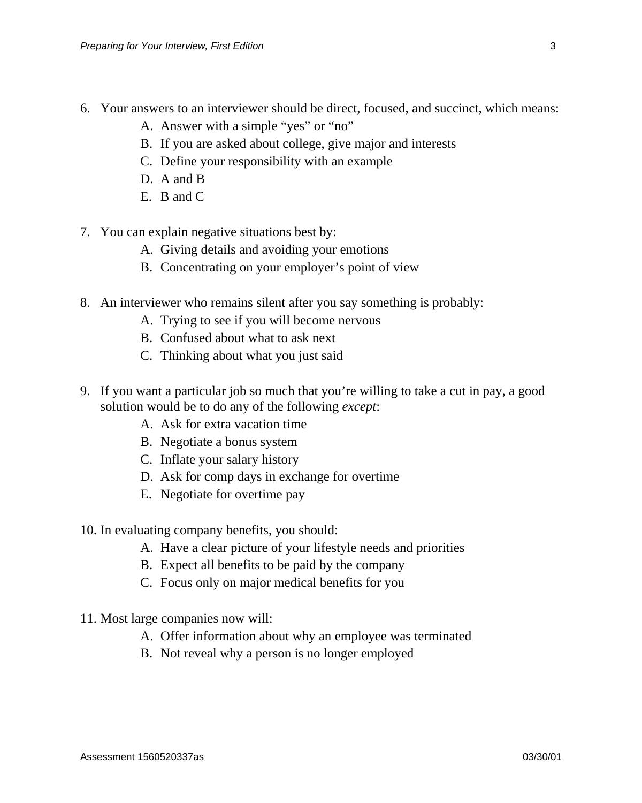- 6. Your answers to an interviewer should be direct, focused, and succinct, which means:
	- A. Answer with a simple "yes" or "no"
	- B. If you are asked about college, give major and interests
	- C. Define your responsibility with an example
	- D. A and B
	- E. B and C
- 7. You can explain negative situations best by:
	- A. Giving details and avoiding your emotions
	- B. Concentrating on your employer's point of view
- 8. An interviewer who remains silent after you say something is probably:
	- A. Trying to see if you will become nervous
	- B. Confused about what to ask next
	- C. Thinking about what you just said
- 9. If you want a particular job so much that you're willing to take a cut in pay, a good solution would be to do any of the following *except*:
	- A. Ask for extra vacation time
	- B. Negotiate a bonus system
	- C. Inflate your salary history
	- D. Ask for comp days in exchange for overtime
	- E. Negotiate for overtime pay
- 10. In evaluating company benefits, you should:
	- A. Have a clear picture of your lifestyle needs and priorities
	- B. Expect all benefits to be paid by the company
	- C. Focus only on major medical benefits for you
- 11. Most large companies now will:
	- A. Offer information about why an employee was terminated
	- B. Not reveal why a person is no longer employed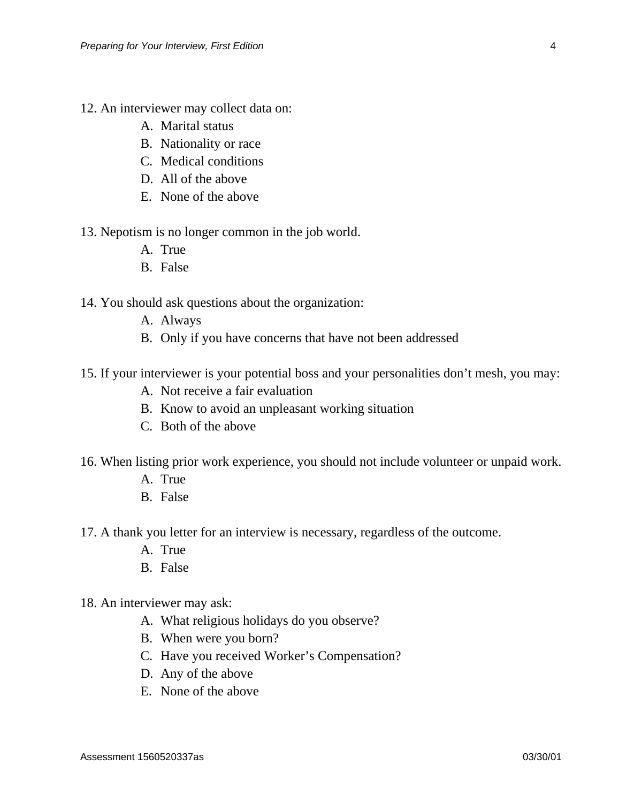- 12. An interviewer may collect data on:
	- A. Marital status
	- B. Nationality or race
	- C. Medical conditions
	- D. All of the above
	- E. None of the above
- 13. Nepotism is no longer common in the job world.
	- A. True
	- B. False

14. You should ask questions about the organization:

- A. Always
- B. Only if you have concerns that have not been addressed
- 15. If your interviewer is your potential boss and your personalities don't mesh, you may:
	- A. Not receive a fair evaluation
	- B. Know to avoid an unpleasant working situation
	- C. Both of the above
- 16. When listing prior work experience, you should not include volunteer or unpaid work.
	- A. True
	- B. False
- 17. A thank you letter for an interview is necessary, regardless of the outcome.
	- A. True
	- B. False
- 18. An interviewer may ask:
	- A. What religious holidays do you observe?
	- B. When were you born?
	- C. Have you received Worker's Compensation?
	- D. Any of the above
	- E. None of the above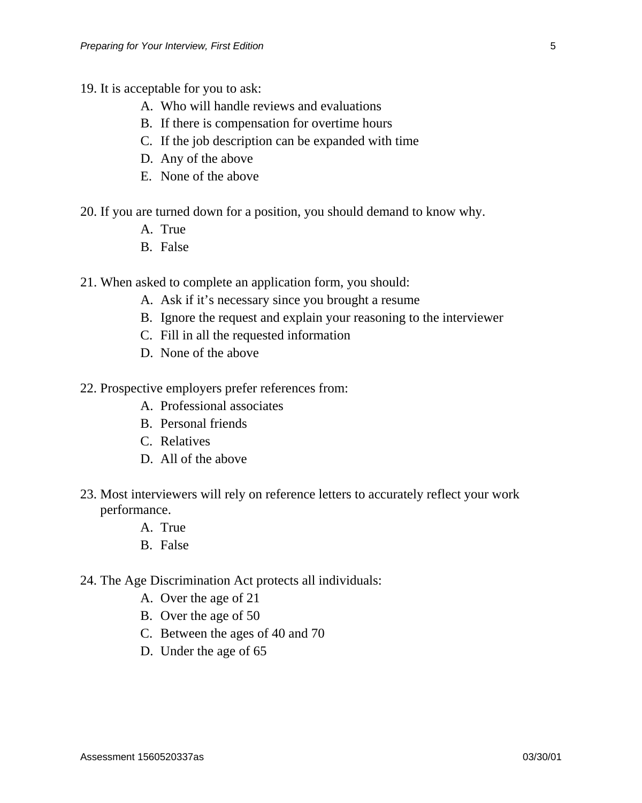- 19. It is acceptable for you to ask:
	- A. Who will handle reviews and evaluations
	- B. If there is compensation for overtime hours
	- C. If the job description can be expanded with time
	- D. Any of the above
	- E. None of the above
- 20. If you are turned down for a position, you should demand to know why.
	- A. True
	- B. False
- 21. When asked to complete an application form, you should:
	- A. Ask if it's necessary since you brought a resume
	- B. Ignore the request and explain your reasoning to the interviewer
	- C. Fill in all the requested information
	- D. None of the above
- 22. Prospective employers prefer references from:
	- A. Professional associates
	- B. Personal friends
	- C. Relatives
	- D. All of the above
- 23. Most interviewers will rely on reference letters to accurately reflect your work performance.
	- A. True
	- B. False
- 24. The Age Discrimination Act protects all individuals:
	- A. Over the age of 21
	- B. Over the age of 50
	- C. Between the ages of 40 and 70
	- D. Under the age of 65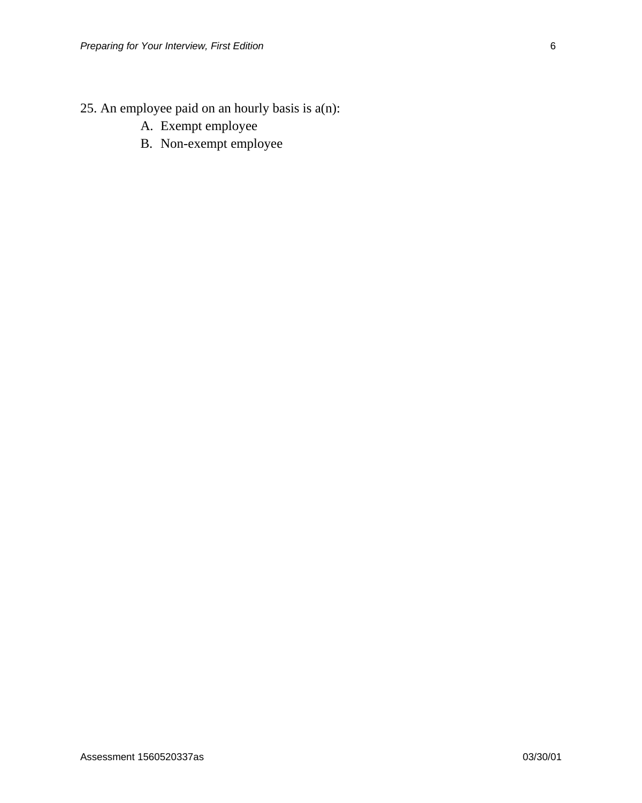- 25. An employee paid on an hourly basis is a(n):
	- A. Exempt employee
	- B. Non-exempt employee